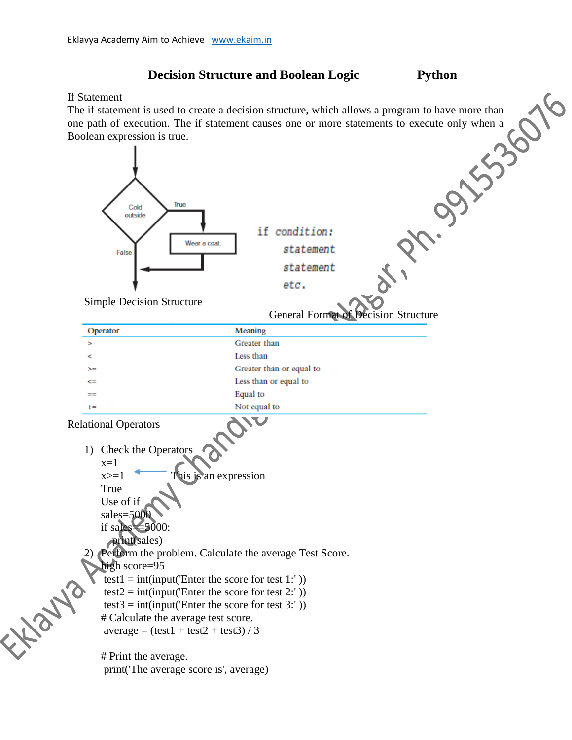## If Statement

The if statement is used to create a decision structure, which allows a program to have more than one path of execution. The if statement causes one or more statements to execute only when a Boolean expression is true.

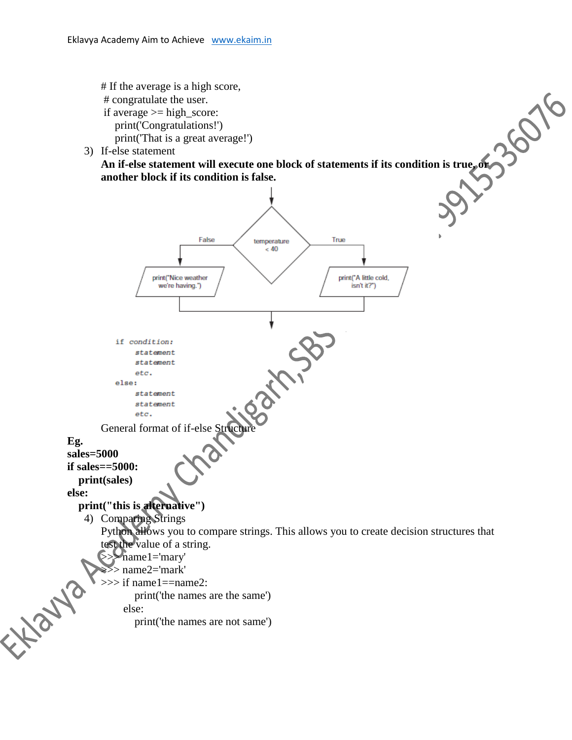

3) If-else statement

**An if-else statement will execute one block of statements if its condition is true, or another block if its condition is false.**

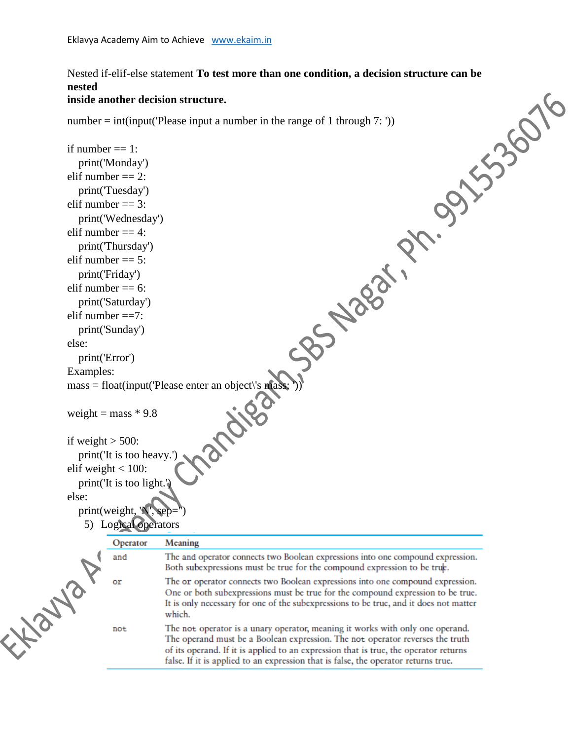## **nested**

## **inside another decision structure.**

number = int(input('Please input a number in the range of 1 through 7: '))

```
Nested if-elif-else statement To test more than one condition, a decision structure can be<br>
mested<br>
inside another decision structure.<br>
another = = 1:<br>
primit (Wordway)<br>
elif number = = 1:<br>
primit (Tuesday)<br>

                  if number == 1:
                      print('Monday')
                  elif number == 2:
                      print('Tuesday')
                  elif number == 3:
                      print('Wednesday')
                  elif number == 4:
                      print('Thursday')
                  elif number == 5:
                      print('Friday')
                  elif number == 6:
                      print('Saturday')
                  elif number ==7:
                      print('Sunday')
                  else:
                      print('Error')
                  Examples:
                 mass = float(input('Please enter an object\'s mass;<br>weight = mass * 9.8<br>if weight > 500:<br>print('It is +
                  weight = mass * 9.8
                  if weight > 500:
                      print('It is too heavy.')
                  elif weight < 100:
                      print('It is too light.')
                  else:
                     print(weight, '5) Logical operatorsOperator
                                             Meaning
Flatford
                              and
                                             The and operator connects two Boolean expressions into one compound expression.
                                             Both subexpressions must be true for the compound expression to be true.
                              or
                                             The or operator connects two Boolean expressions into one compound expression.
                                             One or both subexpressions must be true for the compound expression to be true.
                                             It is only necessary for one of the subexpressions to be true, and it does not matter
                                             which.
                                             The not operator is a unary operator, meaning it works with only one operand.
                              not
                                             The operand must be a Boolean expression. The not operator reverses the truth
                                             of its operand. If it is applied to an expression that is true, the operator returns
                                             false. If it is applied to an expression that is false, the operator returns true.
```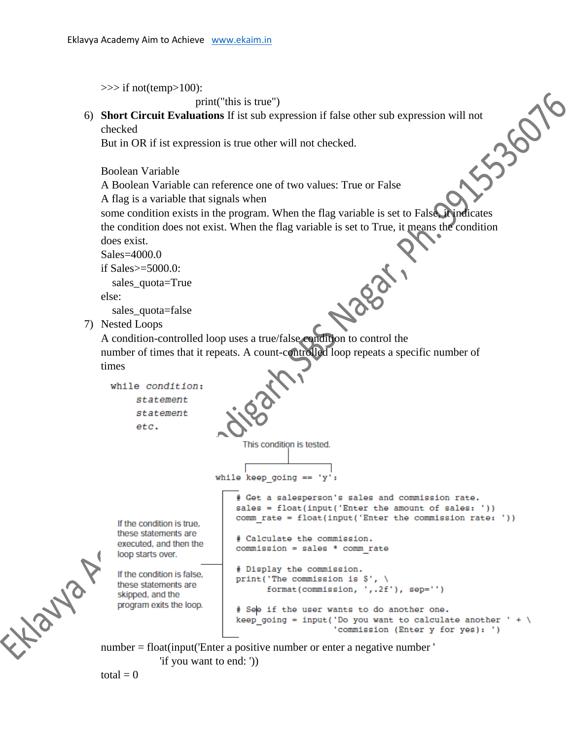```
>>> if not(temp>100):
```
print("this is true")

punt("this is true")<br>
6) **Short Circuit Evaluations** If ist sub expression if false other sub expression will not<br>
checked<br>
But in OR if ist expression is true other will not checked.<br>
Boolean Variable<br>
A Boolean Variable checked

But in OR if ist expression is true other will not checked.

Boolean Variable

A Boolean Variable can reference one of two values: True or False

A flag is a variable that signals when

some condition exists in the program. When the flag variable is set to False, it indicates the condition does not exist. When the flag variable is set to True, it means the condition does exist.

Sales=4000.0

if Sales $>=5000.0$ :

sales\_quota=True

else:

sales\_quota=false

7) Nested Loops

sales\_quota=false<br>Nested Loops<br>A condition-controlled loop uses a true/false condition to control the number of times that it repeats. A count-controlled loop repeats a specific number of times

```
while condition:
    statement
    statement
    etc.
```
This condition is tested.

```
while keep going == 'y':
```
If the condition is true. these statements are executed, and then the loop starts over.

If the condition is false, these statements are skipped, and the program exits the loop.

```
# Get a salesperson's sales and commission rate.
sales = float(input('Enter the amount of sales: '))
comm rate = float(input('Enter the commission rate: '))
# Calculate the commission.
commission = sales * comm rate
```

```
# Display the commission.
print ('The commission is \mathcal{S}', \
      format(commission, ',.2f'), sep='')
```

```
# See if the user wants to do another one.
keep going = input('Do you want to calculate another ' + \
                   'commission (Enter y for yes): ')
```
number = float(input('Enter a positive number or enter a negative number ' 'if you want to end: '))

 $total = 0$ 

Libaryon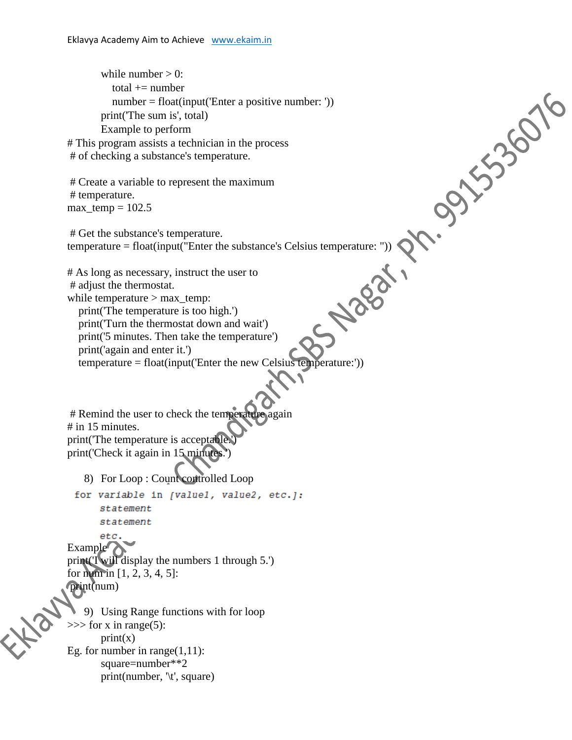temperature = float(input("Enter the substance's Celsius temperature: ")) while number  $> 0$ : total  $+=$  number number = float(input('Enter a positive number: ')) print('The sum is', total) Example to perform # This program assists a technician in the process # of checking a substance's temperature. # Create a variable to represent the maximum # temperature.  $max_{\varepsilon}$  temp = 102.5 # Get the substance's temperature. # As long as necessary, instruct the user to # adjust the thermostat. while temperature > max\_temp: print('The temperature is too high.') print('Turn the thermostat down and wait') print('5 minutes. Then take the temperature') print('again and enter it.') temperature = float(input('Enter the new Celsius temperature:')) # Remind the user to check the temperature again # in 15 minutes. print('The temperature is acceptable. print('Check it again in 15 minutes 8) For Loop : Count controlled Loop for variable in [valuel, value2, etc.]: statement statement etc. Example<sup>7</sup> print('I will display the numbers 1 through 5.') for num in [1, 2, 3, 4, 5]: print(num) 9) Using Range functions with for loop  $\gg$  for x in range(5):  $print(x)$ Eg. for number in range $(1,11)$ : square=number\*\*2 print(number, '\t', square)